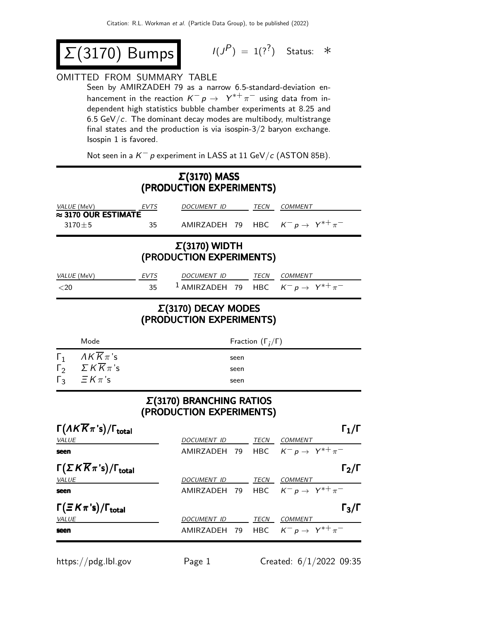$$
\Sigma(3170) \; \text{Bumps} \qquad \qquad ^{1/3}
$$

$$
I(J^P) = 1(?) \quad \text{Status:} \quad *
$$

## OMITTED FROM SUMMARY TABLE

Seen by AMIRZADEH 79 as a narrow 6.5-standard-deviation enhancement in the reaction  $K^- p \rightarrow Y^{*+} \pi^-$  using data from independent high statistics bubble chamber experiments at 8.25 and 6.5 GeV/ $c$ . The dominant decay modes are multibody, multistrange final states and the production is via isospin-3/2 baryon exchange. Isospin 1 is favored.

Not seen in a  $K^-$  p experiment in LASS at 11 GeV/c (ASTON 85B).

## Σ(3170) MASS (PRODUCTION EXPERIMENTS)

| VALUE (MeV)                                                                    | EVTS | DOCUMENT ID                                                 |              | TECN                         | <b>COMMENT</b>                                                    |  |  |
|--------------------------------------------------------------------------------|------|-------------------------------------------------------------|--------------|------------------------------|-------------------------------------------------------------------|--|--|
| $\approx$ 3170 OUR ESTIMATE<br>$3170 \pm 5$                                    | 35   |                                                             |              |                              | AMIRZADEH 79 HBC $K^- p \rightarrow Y^{*+} \pi^-$                 |  |  |
| $\Sigma(3170)$ WIDTH<br>(PRODUCTION EXPERIMENTS)                               |      |                                                             |              |                              |                                                                   |  |  |
| VALUE (MeV)                                                                    | EVTS | DOCUMENT ID TECN COMMENT                                    |              |                              |                                                                   |  |  |
| $20$                                                                           | 35   |                                                             |              |                              | <sup>1</sup> AMIRZADEH 79 HBC $K^- p \rightarrow Y^{*+} \pi^-$    |  |  |
| $\Sigma(3170)$ DECAY MODES<br>(PRODUCTION EXPERIMENTS)                         |      |                                                             |              |                              |                                                                   |  |  |
| Mode                                                                           |      |                                                             |              | Fraction $(\Gamma_i/\Gamma)$ |                                                                   |  |  |
| $AKK\pi$ 's<br>$\Gamma_1$                                                      |      |                                                             | seen         |                              |                                                                   |  |  |
| $\sum K \overline{K} \pi$ 's<br>$\Gamma_2$<br>$\Gamma_3$<br>$\equiv$ $K\pi$ 's |      |                                                             | seen<br>seen |                              |                                                                   |  |  |
|                                                                                |      | $\Sigma(3170)$ BRANCHING RATIOS<br>(PRODUCTION EXPERIMENTS) |              |                              |                                                                   |  |  |
| $\Gamma(\Lambda K \overline{K}\pi\text{'s})/\Gamma_\text{total}$               |      |                                                             |              |                              | $\Gamma_1/\Gamma$                                                 |  |  |
| <b>VALUE</b>                                                                   |      | DOCUMENT ID                                                 |              |                              | TECN COMMENT                                                      |  |  |
| seen                                                                           |      | AMIRZADEH                                                   | 79           |                              | HBC $K^- p \rightarrow Y^{*+} \pi^-$                              |  |  |
| $\Gamma(\Sigma K \overline{K}\pi\text{'s})/\Gamma_\text{total}$                |      |                                                             |              |                              | $\Gamma_2/\Gamma$                                                 |  |  |
| VALUE<br>seen                                                                  |      | DOCUMENT ID                                                 |              |                              | TECN COMMENT<br>AMIRZADEH 79 HBC $K^- p \rightarrow Y^{*+} \pi^-$ |  |  |
|                                                                                |      |                                                             |              |                              |                                                                   |  |  |
| $\Gamma(\equiv K\pi\text{'s})/\Gamma_\text{total}$<br>VALUE                    |      | <i>DOCUMENT ID</i>                                          |              |                              | $\Gamma_3/\Gamma$<br>TECN COMMENT                                 |  |  |
| seen                                                                           |      |                                                             |              |                              | AMIRZADEH 79 HBC $K^- p \rightarrow Y^{*+} \pi^-$                 |  |  |

https://pdg.lbl.gov Page 1 Created: 6/1/2022 09:35